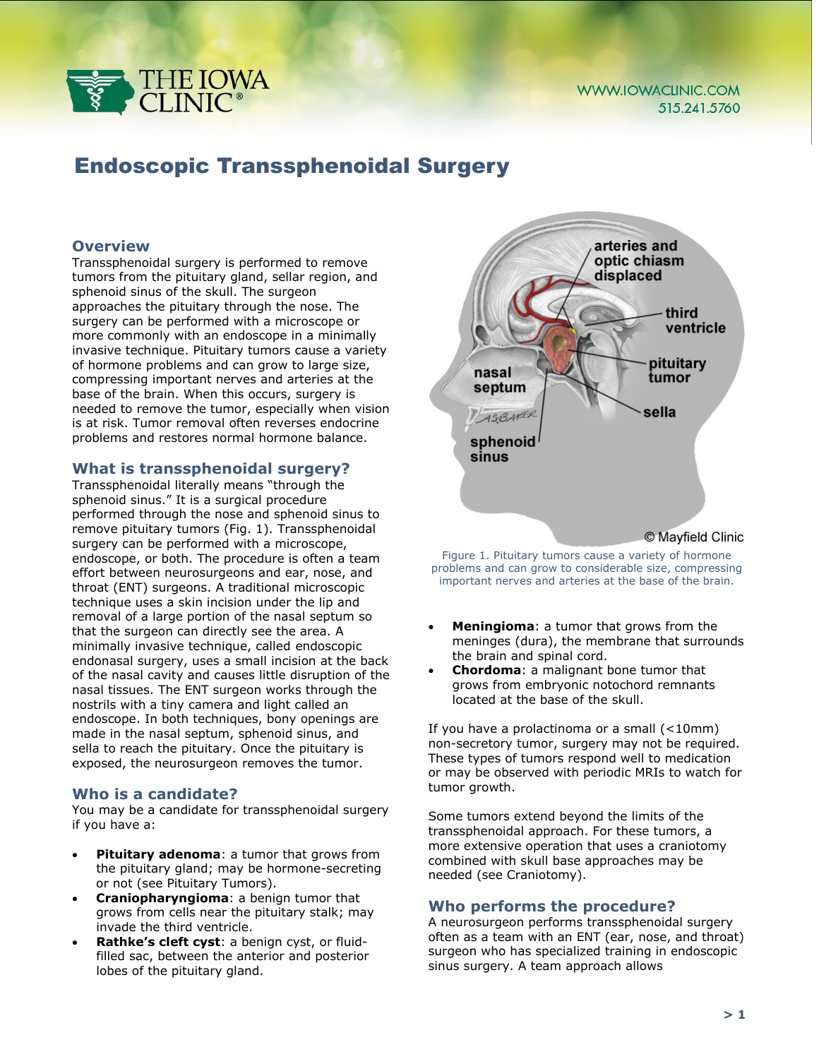

# Endoscopic Transsphenoidal Surgery

# **Overview**

Transsphenoidal surgery is performed to remove tumors from the pituitary gland, sellar region, and sphenoid sinus of the skull. The surgeon approaches the pituitary through the nose. The surgery can be performed with a microscope or more commonly with an endoscope in a minimally invasive technique. Pituitary tumors cause a variety of hormone problems and can grow to large size, compressing important nerves and arteries at the base of the brain. When this occurs, surgery is needed to remove the tumor, especially when vision is at risk. Tumor removal often reverses endocrine problems and restores normal hormone balance.

# **What is transsphenoidal surgery?**

Transsphenoidal literally means "through the sphenoid sinus." It is a surgical procedure performed through the nose and sphenoid sinus to remove pituitary tumors (Fig. 1). Transsphenoidal surgery can be performed with a microscope, endoscope, or both. The procedure is often a team effort between neurosurgeons and ear, nose, and throat (ENT) surgeons. A traditional microscopic technique uses a skin incision under the lip and removal of a large portion of the nasal septum so that the surgeon can directly see the area. A minimally invasive technique, called endoscopic endonasal surgery, uses a small incision at the back of the nasal cavity and causes little disruption of the nasal tissues. The ENT surgeon works through the nostrils with a tiny camera and light called an endoscope. In both techniques, bony openings are made in the nasal septum, sphenoid sinus, and sella to reach the pituitary. Once the pituitary is exposed, the neurosurgeon removes the tumor.

### **Who is a candidate?**

You may be a candidate for transsphenoidal surgery if you have a:

- **Pituitary adenoma:** a tumor that grows from the pituitary gland; may be hormone-secreting or not (see Pituitary Tumors).
- **Craniopharyngioma**: a benign tumor that grows from cells near the pituitary stalk; may invade the third ventricle.
- **Rathke's cleft cyst**: a benign cyst, or fluidfilled sac, between the anterior and posterior lobes of the pituitary gland.



© Mayfield Clinic

Figure 1. Pituitary tumors cause a variety of hormone problems and can grow to considerable size, compressing important nerves and arteries at the base of the brain.

- **Meningioma**: a tumor that grows from the meninges (dura), the membrane that surrounds the brain and spinal cord.
- **Chordoma**: a malignant bone tumor that grows from embryonic notochord remnants located at the base of the skull.

If you have a prolactinoma or a small (<10mm) non-secretory tumor, surgery may not be required. These types of tumors respond well to medication or may be observed with periodic MRIs to watch for tumor growth.

Some tumors extend beyond the limits of the transsphenoidal approach. For these tumors, a more extensive operation that uses a craniotomy combined with skull base approaches may be needed (see Craniotomy).

### **Who performs the procedure?**

A neurosurgeon performs transsphenoidal surgery often as a team with an ENT (ear, nose, and throat) surgeon who has specialized training in endoscopic sinus surgery. A team approach allows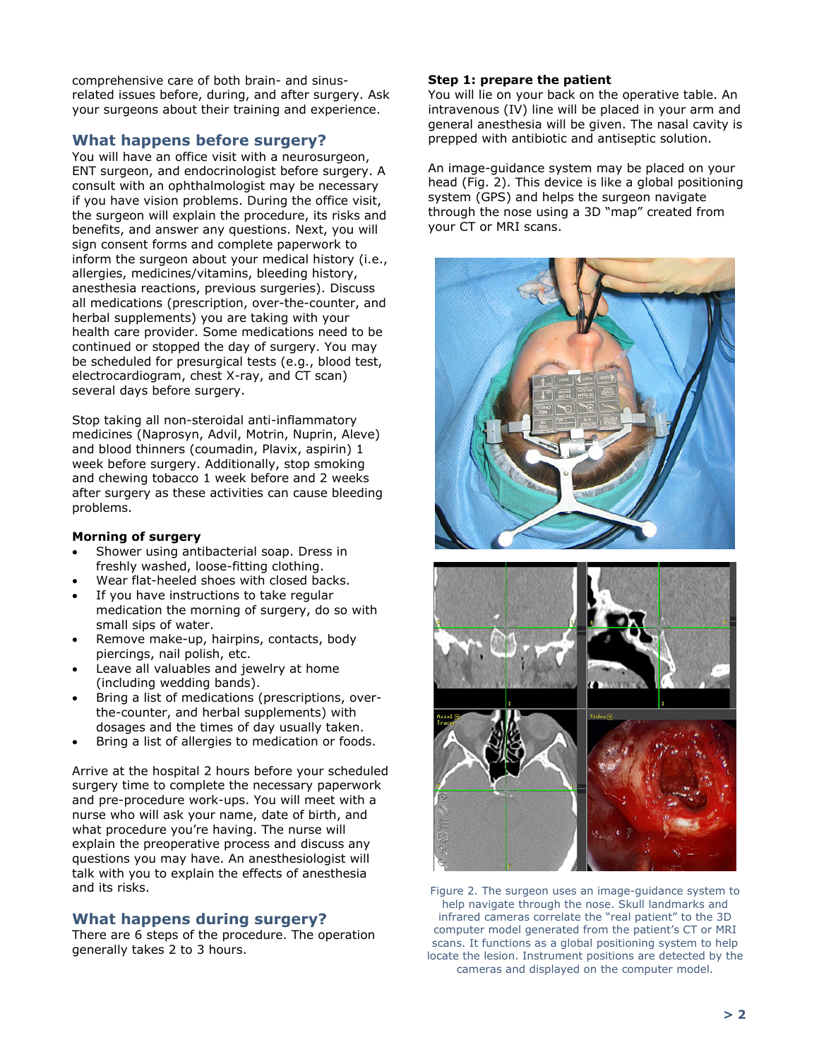comprehensive care of both brain- and sinusrelated issues before, during, and after surgery. Ask your surgeons about their training and experience.

# **What happens before surgery?**

You will have an office visit with a neurosurgeon, ENT surgeon, and endocrinologist before surgery. A consult with an ophthalmologist may be necessary if you have vision problems. During the office visit, the surgeon will explain the procedure, its risks and benefits, and answer any questions. Next, you will sign consent forms and complete paperwork to inform the surgeon about your medical history (i.e., allergies, medicines/vitamins, bleeding history, anesthesia reactions, previous surgeries). Discuss all medications (prescription, over-the-counter, and herbal supplements) you are taking with your health care provider. Some medications need to be continued or stopped the day of surgery. You may be scheduled for presurgical tests (e.g., blood test, electrocardiogram, chest X-ray, and CT scan) several days before surgery.

Stop taking all non-steroidal anti-inflammatory medicines (Naprosyn, Advil, Motrin, Nuprin, Aleve) and blood thinners (coumadin, Plavix, aspirin) 1 week before surgery. Additionally, stop smoking and chewing tobacco 1 week before and 2 weeks after surgery as these activities can cause bleeding problems.

### **Morning of surgery**

- Shower using antibacterial soap. Dress in freshly washed, loose-fitting clothing.
- Wear flat-heeled shoes with closed backs.
- If you have instructions to take regular medication the morning of surgery, do so with small sips of water.
- Remove make-up, hairpins, contacts, body piercings, nail polish, etc.
- Leave all valuables and jewelry at home (including wedding bands).
- Bring a list of medications (prescriptions, overthe-counter, and herbal supplements) with dosages and the times of day usually taken.
- Bring a list of allergies to medication or foods.

Arrive at the hospital 2 hours before your scheduled surgery time to complete the necessary paperwork and pre-procedure work-ups. You will meet with a nurse who will ask your name, date of birth, and what procedure you're having. The nurse will explain the preoperative process and discuss any questions you may have. An anesthesiologist will talk with you to explain the effects of anesthesia and its risks.

# **What happens during surgery?**

There are 6 steps of the procedure. The operation generally takes 2 to 3 hours.

### **Step 1: prepare the patient**

You will lie on your back on the operative table. An intravenous (IV) line will be placed in your arm and general anesthesia will be given. The nasal cavity is prepped with antibiotic and antiseptic solution.

An image-guidance system may be placed on your head (Fig. 2). This device is like a global positioning system (GPS) and helps the surgeon navigate through the nose using a 3D "map" created from your CT or MRI scans.



Figure 2. The surgeon uses an image-guidance system to help navigate through the nose. Skull landmarks and infrared cameras correlate the "real patient" to the 3D computer model generated from the patient's CT or MRI scans. It functions as a global positioning system to help locate the lesion. Instrument positions are detected by the cameras and displayed on the computer model.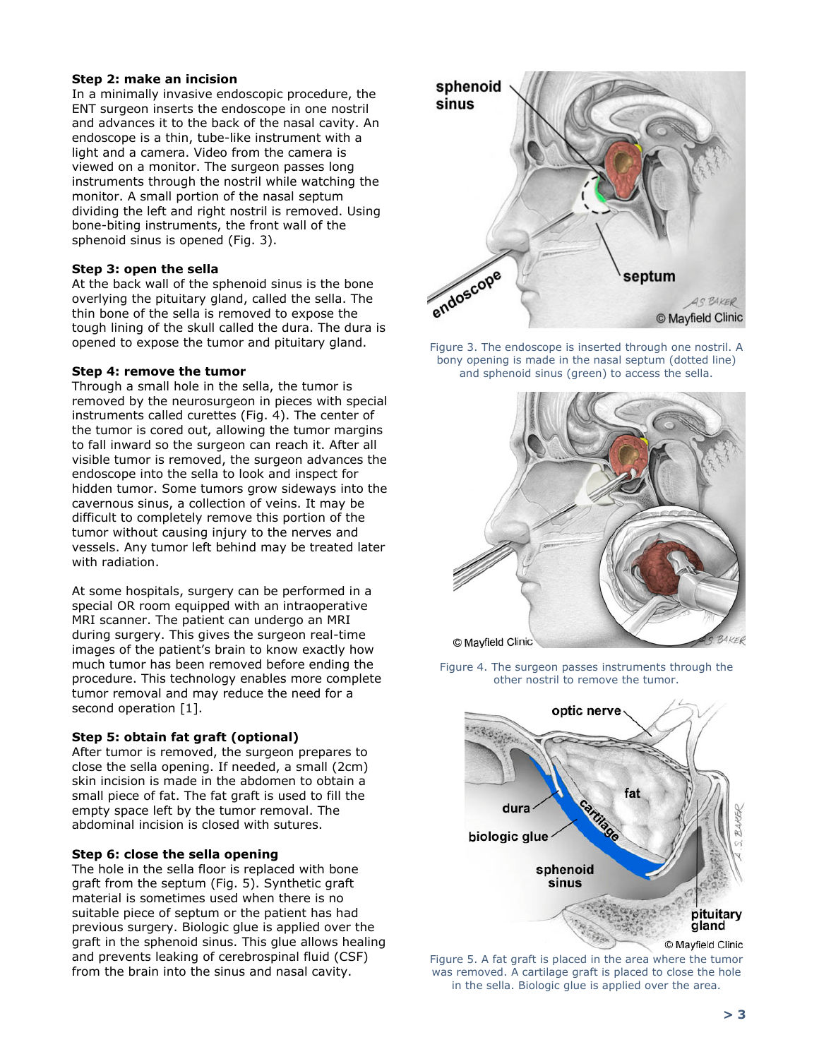### **Step 2: make an incision**

In a minimally invasive endoscopic procedure, the ENT surgeon inserts the endoscope in one nostril and advances it to the back of the nasal cavity. An endoscope is a thin, tube-like instrument with a light and a camera. Video from the camera is viewed on a monitor. The surgeon passes long instruments through the nostril while watching the monitor. A small portion of the nasal septum dividing the left and right nostril is removed. Using bone-biting instruments, the front wall of the sphenoid sinus is opened (Fig. 3).

### **Step 3: open the sella**

At the back wall of the sphenoid sinus is the bone overlying the pituitary gland, called the sella. The thin bone of the sella is removed to expose the tough lining of the skull called the dura. The dura is opened to expose the tumor and pituitary gland.

### **Step 4: remove the tumor**

Through a small hole in the sella, the tumor is removed by the neurosurgeon in pieces with special instruments called curettes (Fig. 4). The center of the tumor is cored out, allowing the tumor margins to fall inward so the surgeon can reach it. After all visible tumor is removed, the surgeon advances the endoscope into the sella to look and inspect for hidden tumor. Some tumors grow sideways into the cavernous sinus, a collection of veins. It may be difficult to completely remove this portion of the tumor without causing injury to the nerves and vessels. Any tumor left behind may be treated later with radiation.

At some hospitals, surgery can be performed in a special OR room equipped with an intraoperative MRI scanner. The patient can undergo an MRI during surgery. This gives the surgeon real-time images of the patient's brain to know exactly how much tumor has been removed before ending the procedure. This technology enables more complete tumor removal and may reduce the need for a second operation [1].

### **Step 5: obtain fat graft (optional)**

After tumor is removed, the surgeon prepares to close the sella opening. If needed, a small (2cm) skin incision is made in the abdomen to obtain a small piece of fat. The fat graft is used to fill the empty space left by the tumor removal. The abdominal incision is closed with sutures.

#### **Step 6: close the sella opening**

The hole in the sella floor is replaced with bone graft from the septum (Fig. 5). Synthetic graft material is sometimes used when there is no suitable piece of septum or the patient has had previous surgery. Biologic glue is applied over the graft in the sphenoid sinus. This glue allows healing and prevents leaking of cerebrospinal fluid (CSF) from the brain into the sinus and nasal cavity.



Figure 3. The endoscope is inserted through one nostril. A bony opening is made in the nasal septum (dotted line) and sphenoid sinus (green) to access the sella.



Figure 4. The surgeon passes instruments through the other nostril to remove the tumor.



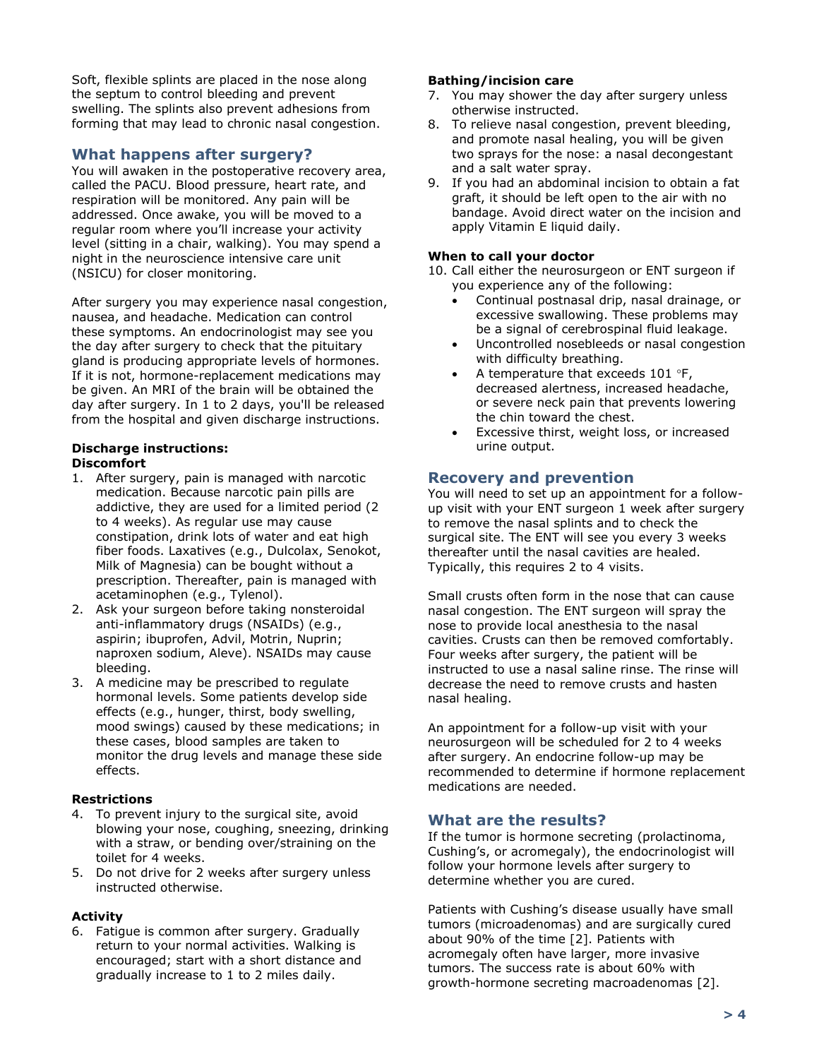Soft, flexible splints are placed in the nose along the septum to control bleeding and prevent swelling. The splints also prevent adhesions from forming that may lead to chronic nasal congestion.

# **What happens after surgery?**

You will awaken in the postoperative recovery area, called the PACU. Blood pressure, heart rate, and respiration will be monitored. Any pain will be addressed. Once awake, you will be moved to a regular room where you'll increase your activity level (sitting in a chair, walking). You may spend a night in the neuroscience intensive care unit (NSICU) for closer monitoring.

After surgery you may experience nasal congestion, nausea, and headache. Medication can control these symptoms. An endocrinologist may see you the day after surgery to check that the pituitary gland is producing appropriate levels of hormones. If it is not, hormone-replacement medications may be given. An MRI of the brain will be obtained the day after surgery. In 1 to 2 days, you'll be released from the hospital and given discharge instructions.

#### **Discharge instructions: Discomfort**

- 1. After surgery, pain is managed with narcotic medication. Because narcotic pain pills are addictive, they are used for a limited period (2 to 4 weeks). As regular use may cause constipation, drink lots of water and eat high fiber foods. Laxatives (e.g., Dulcolax, Senokot, Milk of Magnesia) can be bought without a prescription. Thereafter, pain is managed with acetaminophen (e.g., Tylenol).
- 2. Ask your surgeon before taking nonsteroidal anti-inflammatory drugs (NSAIDs) (e.g., aspirin; ibuprofen, Advil, Motrin, Nuprin; naproxen sodium, Aleve). NSAIDs may cause bleeding.
- 3. A medicine may be prescribed to regulate hormonal levels. Some patients develop side effects (e.g., hunger, thirst, body swelling, mood swings) caused by these medications; in these cases, blood samples are taken to monitor the drug levels and manage these side effects.

### **Restrictions**

- 4. To prevent injury to the surgical site, avoid blowing your nose, coughing, sneezing, drinking with a straw, or bending over/straining on the toilet for 4 weeks.
- 5. Do not drive for 2 weeks after surgery unless instructed otherwise.

# **Activity**

6. Fatigue is common after surgery. Gradually return to your normal activities. Walking is encouraged; start with a short distance and gradually increase to 1 to 2 miles daily.

# **Bathing/incision care**

- 7. You may shower the day after surgery unless otherwise instructed.
- 8. To relieve nasal congestion, prevent bleeding, and promote nasal healing, you will be given two sprays for the nose: a nasal decongestant and a salt water spray.
- 9. If you had an abdominal incision to obtain a fat graft, it should be left open to the air with no bandage. Avoid direct water on the incision and apply Vitamin E liquid daily.

### **When to call your doctor**

- 10. Call either the neurosurgeon or ENT surgeon if you experience any of the following:
	- Continual postnasal drip, nasal drainage, or excessive swallowing. These problems may be a signal of cerebrospinal fluid leakage.
	- Uncontrolled nosebleeds or nasal congestion with difficulty breathing.
	- A temperature that exceeds 101 °F, decreased alertness, increased headache, or severe neck pain that prevents lowering the chin toward the chest.
	- Excessive thirst, weight loss, or increased urine output.

# **Recovery and prevention**

You will need to set up an appointment for a followup visit with your ENT surgeon 1 week after surgery to remove the nasal splints and to check the surgical site. The ENT will see you every 3 weeks thereafter until the nasal cavities are healed. Typically, this requires 2 to 4 visits.

Small crusts often form in the nose that can cause nasal congestion. The ENT surgeon will spray the nose to provide local anesthesia to the nasal cavities. Crusts can then be removed comfortably. Four weeks after surgery, the patient will be instructed to use a nasal saline rinse. The rinse will decrease the need to remove crusts and hasten nasal healing.

An appointment for a follow-up visit with your neurosurgeon will be scheduled for 2 to 4 weeks after surgery. An endocrine follow-up may be recommended to determine if hormone replacement medications are needed.

# **What are the results?**

If the tumor is hormone secreting (prolactinoma, Cushing's, or acromegaly), the endocrinologist will follow your hormone levels after surgery to determine whether you are cured.

Patients with Cushing's disease usually have small tumors (microadenomas) and are surgically cured about 90% of the time [2]. Patients with acromegaly often have larger, more invasive tumors. The success rate is about 60% with growth-hormone secreting macroadenomas [2].